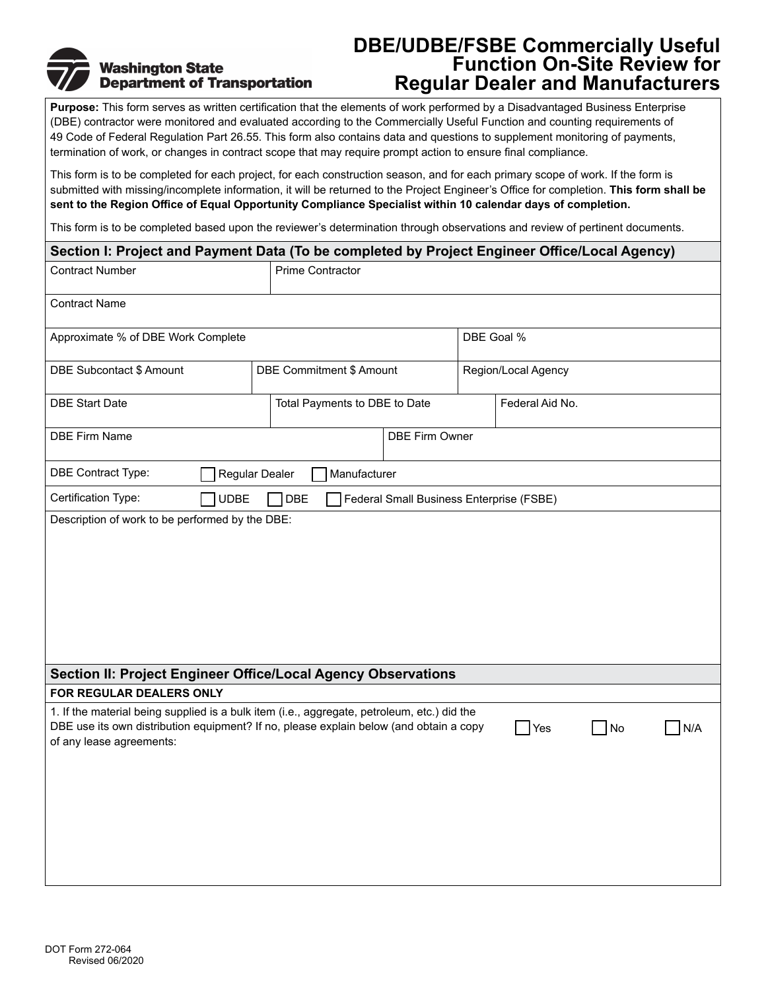# **Washington State Department of Transportation**

## **DBE/UDBE/FSBE Commercially Useful Function On-Site Review for Regular Dealer and Manufacturers**

**Purpose:** This form serves as written certification that the elements of work performed by a Disadvantaged Business Enterprise (DBE) contractor were monitored and evaluated according to the Commercially Useful Function and counting requirements of 49 Code of Federal Regulation Part 26.55. This form also contains data and questions to supplement monitoring of payments, termination of work, or changes in contract scope that may require prompt action to ensure final compliance.

This form is to be completed for each project, for each construction season, and for each primary scope of work. If the form is submitted with missing/incomplete information, it will be returned to the Project Engineer's Office for completion. **This form shall be sent to the Region Office of Equal Opportunity Compliance Specialist within 10 calendar days of completion.**

This form is to be completed based upon the reviewer's determination through observations and review of pertinent documents.

| Section I: Project and Payment Data (To be completed by Project Engineer Office/Local Agency)                                                                                                                     |                               |                          |                                          |            |                     |    |     |
|-------------------------------------------------------------------------------------------------------------------------------------------------------------------------------------------------------------------|-------------------------------|--------------------------|------------------------------------------|------------|---------------------|----|-----|
| <b>Contract Number</b>                                                                                                                                                                                            |                               | <b>Prime Contractor</b>  |                                          |            |                     |    |     |
| <b>Contract Name</b>                                                                                                                                                                                              |                               |                          |                                          |            |                     |    |     |
| Approximate % of DBE Work Complete                                                                                                                                                                                |                               |                          |                                          | DBE Goal % |                     |    |     |
| DBE Subcontact \$ Amount                                                                                                                                                                                          |                               | DBE Commitment \$ Amount |                                          |            | Region/Local Agency |    |     |
| <b>DBE Start Date</b>                                                                                                                                                                                             | Total Payments to DBE to Date |                          |                                          |            | Federal Aid No.     |    |     |
| <b>DBE Firm Name</b>                                                                                                                                                                                              |                               | <b>DBE Firm Owner</b>    |                                          |            |                     |    |     |
| DBE Contract Type:<br>Manufacturer<br>Regular Dealer                                                                                                                                                              |                               |                          |                                          |            |                     |    |     |
| Certification Type:<br><b>UDBE</b>                                                                                                                                                                                | <b>DBE</b>                    |                          | Federal Small Business Enterprise (FSBE) |            |                     |    |     |
|                                                                                                                                                                                                                   |                               |                          |                                          |            |                     |    |     |
| Section II: Project Engineer Office/Local Agency Observations<br>FOR REGULAR DEALERS ONLY                                                                                                                         |                               |                          |                                          |            |                     |    |     |
| 1. If the material being supplied is a bulk item (i.e., aggregate, petroleum, etc.) did the<br>DBE use its own distribution equipment? If no, please explain below (and obtain a copy<br>of any lease agreements: |                               |                          |                                          |            | Yes                 | No | N/A |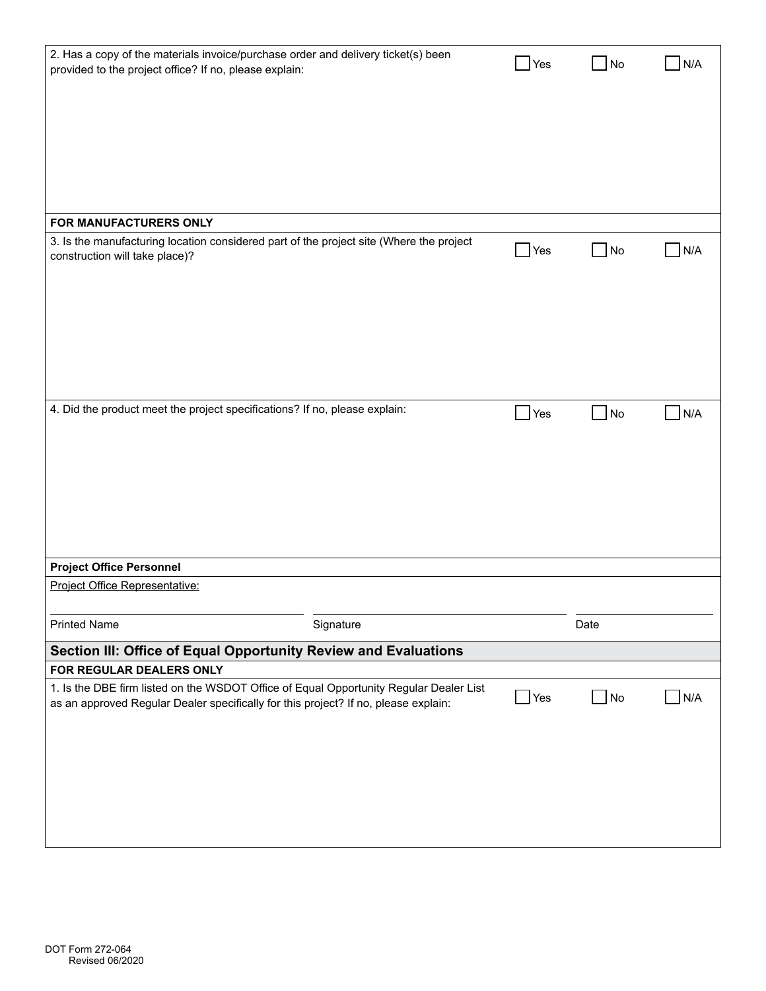| 2. Has a copy of the materials invoice/purchase order and delivery ticket(s) been<br>provided to the project office? If no, please explain:                                   | Yes                | No                | N/A              |
|-------------------------------------------------------------------------------------------------------------------------------------------------------------------------------|--------------------|-------------------|------------------|
|                                                                                                                                                                               |                    |                   |                  |
|                                                                                                                                                                               |                    |                   |                  |
|                                                                                                                                                                               |                    |                   |                  |
|                                                                                                                                                                               |                    |                   |                  |
| FOR MANUFACTURERS ONLY                                                                                                                                                        |                    |                   |                  |
| 3. Is the manufacturing location considered part of the project site (Where the project                                                                                       |                    |                   |                  |
| construction will take place)?                                                                                                                                                | $\blacksquare$ Yes | No                | N/A              |
|                                                                                                                                                                               |                    |                   |                  |
|                                                                                                                                                                               |                    |                   |                  |
|                                                                                                                                                                               |                    |                   |                  |
|                                                                                                                                                                               |                    |                   |                  |
|                                                                                                                                                                               |                    |                   |                  |
| 4. Did the product meet the project specifications? If no, please explain:                                                                                                    | Yes                | $\blacksquare$ No | N/A              |
|                                                                                                                                                                               |                    |                   |                  |
|                                                                                                                                                                               |                    |                   |                  |
|                                                                                                                                                                               |                    |                   |                  |
|                                                                                                                                                                               |                    |                   |                  |
|                                                                                                                                                                               |                    |                   |                  |
| <b>Project Office Personnel</b><br>Project Office Representative:                                                                                                             |                    |                   |                  |
|                                                                                                                                                                               |                    |                   |                  |
| <b>Printed Name</b><br>Signature                                                                                                                                              |                    | Date              |                  |
| Section III: Office of Equal Opportunity Review and Evaluations                                                                                                               |                    |                   |                  |
| FOR REGULAR DEALERS ONLY                                                                                                                                                      |                    |                   |                  |
| 1. Is the DBE firm listed on the WSDOT Office of Equal Opportunity Regular Dealer List<br>as an approved Regular Dealer specifically for this project? If no, please explain: | $\mathsf{Yes}$     | $\blacksquare$ No | N/A<br>$\sim 10$ |
|                                                                                                                                                                               |                    |                   |                  |
|                                                                                                                                                                               |                    |                   |                  |
|                                                                                                                                                                               |                    |                   |                  |
|                                                                                                                                                                               |                    |                   |                  |
|                                                                                                                                                                               |                    |                   |                  |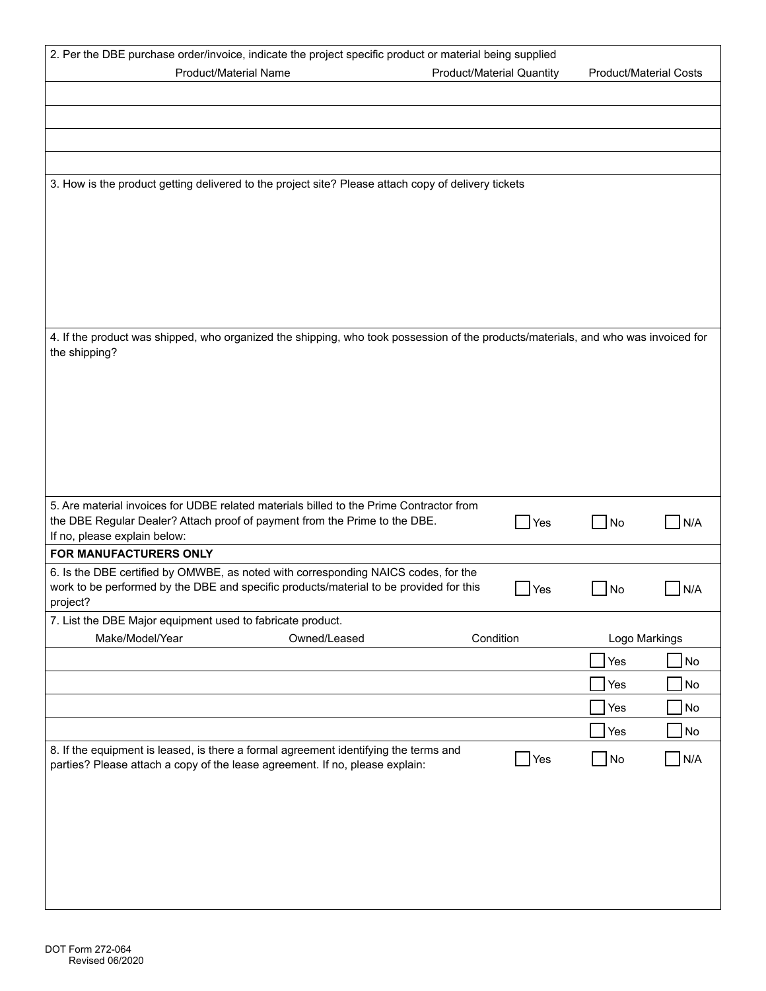| 2. Per the DBE purchase order/invoice, indicate the project specific product or material being supplied                                                                      |                                  |                               |            |  |  |
|------------------------------------------------------------------------------------------------------------------------------------------------------------------------------|----------------------------------|-------------------------------|------------|--|--|
| <b>Product/Material Name</b>                                                                                                                                                 | <b>Product/Material Quantity</b> | <b>Product/Material Costs</b> |            |  |  |
|                                                                                                                                                                              |                                  |                               |            |  |  |
|                                                                                                                                                                              |                                  |                               |            |  |  |
|                                                                                                                                                                              |                                  |                               |            |  |  |
|                                                                                                                                                                              |                                  |                               |            |  |  |
| 3. How is the product getting delivered to the project site? Please attach copy of delivery tickets                                                                          |                                  |                               |            |  |  |
|                                                                                                                                                                              |                                  |                               |            |  |  |
|                                                                                                                                                                              |                                  |                               |            |  |  |
|                                                                                                                                                                              |                                  |                               |            |  |  |
|                                                                                                                                                                              |                                  |                               |            |  |  |
|                                                                                                                                                                              |                                  |                               |            |  |  |
| 4. If the product was shipped, who organized the shipping, who took possession of the products/materials, and who was invoiced for                                           |                                  |                               |            |  |  |
| the shipping?                                                                                                                                                                |                                  |                               |            |  |  |
|                                                                                                                                                                              |                                  |                               |            |  |  |
|                                                                                                                                                                              |                                  |                               |            |  |  |
|                                                                                                                                                                              |                                  |                               |            |  |  |
|                                                                                                                                                                              |                                  |                               |            |  |  |
|                                                                                                                                                                              |                                  |                               |            |  |  |
|                                                                                                                                                                              |                                  |                               |            |  |  |
| 5. Are material invoices for UDBE related materials billed to the Prime Contractor from<br>the DBE Regular Dealer? Attach proof of payment from the Prime to the DBE.        |                                  |                               |            |  |  |
| If no, please explain below:                                                                                                                                                 | Yes                              | No                            | N/A        |  |  |
| FOR MANUFACTURERS ONLY                                                                                                                                                       |                                  |                               |            |  |  |
| 6. Is the DBE certified by OMWBE, as noted with corresponding NAICS codes, for the<br>work to be performed by the DBE and specific products/material to be provided for this | $\blacksquare$ Yes               | No                            | N/A        |  |  |
| project?                                                                                                                                                                     |                                  |                               |            |  |  |
| 7. List the DBE Major equipment used to fabricate product.                                                                                                                   |                                  |                               |            |  |  |
| Make/Model/Year<br>Owned/Leased                                                                                                                                              | Condition                        | Logo Markings                 |            |  |  |
|                                                                                                                                                                              |                                  | Yes                           | No         |  |  |
|                                                                                                                                                                              |                                  | Yes                           | No         |  |  |
|                                                                                                                                                                              |                                  | Yes                           | No         |  |  |
|                                                                                                                                                                              |                                  | Yes                           | $\sqrt{N}$ |  |  |
| 8. If the equipment is leased, is there a formal agreement identifying the terms and<br>parties? Please attach a copy of the lease agreement. If no, please explain:         | $\blacksquare$ Yes               | <b>No</b>                     | N/A        |  |  |
|                                                                                                                                                                              |                                  |                               |            |  |  |
|                                                                                                                                                                              |                                  |                               |            |  |  |
|                                                                                                                                                                              |                                  |                               |            |  |  |
|                                                                                                                                                                              |                                  |                               |            |  |  |
|                                                                                                                                                                              |                                  |                               |            |  |  |
|                                                                                                                                                                              |                                  |                               |            |  |  |
|                                                                                                                                                                              |                                  |                               |            |  |  |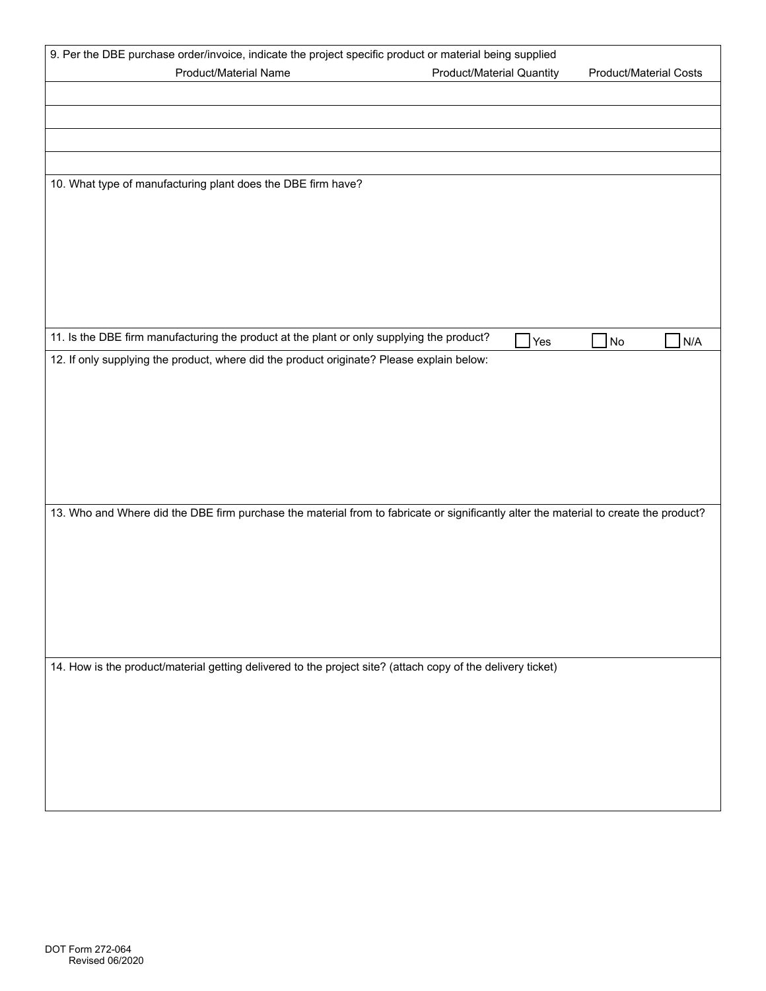|                                                                                                                                       | 9. Per the DBE purchase order/invoice, indicate the project specific product or material being supplied |                               |  |  |  |  |
|---------------------------------------------------------------------------------------------------------------------------------------|---------------------------------------------------------------------------------------------------------|-------------------------------|--|--|--|--|
| <b>Product/Material Name</b>                                                                                                          | <b>Product/Material Quantity</b>                                                                        | <b>Product/Material Costs</b> |  |  |  |  |
|                                                                                                                                       |                                                                                                         |                               |  |  |  |  |
|                                                                                                                                       |                                                                                                         |                               |  |  |  |  |
|                                                                                                                                       |                                                                                                         |                               |  |  |  |  |
|                                                                                                                                       |                                                                                                         |                               |  |  |  |  |
|                                                                                                                                       |                                                                                                         |                               |  |  |  |  |
| 10. What type of manufacturing plant does the DBE firm have?                                                                          |                                                                                                         |                               |  |  |  |  |
|                                                                                                                                       |                                                                                                         |                               |  |  |  |  |
|                                                                                                                                       |                                                                                                         |                               |  |  |  |  |
|                                                                                                                                       |                                                                                                         |                               |  |  |  |  |
|                                                                                                                                       |                                                                                                         |                               |  |  |  |  |
|                                                                                                                                       |                                                                                                         |                               |  |  |  |  |
|                                                                                                                                       |                                                                                                         |                               |  |  |  |  |
|                                                                                                                                       |                                                                                                         |                               |  |  |  |  |
| 11. Is the DBE firm manufacturing the product at the plant or only supplying the product?                                             | Yes                                                                                                     | N <sub>o</sub><br>N/A         |  |  |  |  |
| 12. If only supplying the product, where did the product originate? Please explain below:                                             |                                                                                                         |                               |  |  |  |  |
|                                                                                                                                       |                                                                                                         |                               |  |  |  |  |
|                                                                                                                                       |                                                                                                         |                               |  |  |  |  |
|                                                                                                                                       |                                                                                                         |                               |  |  |  |  |
|                                                                                                                                       |                                                                                                         |                               |  |  |  |  |
|                                                                                                                                       |                                                                                                         |                               |  |  |  |  |
|                                                                                                                                       |                                                                                                         |                               |  |  |  |  |
|                                                                                                                                       |                                                                                                         |                               |  |  |  |  |
| 13. Who and Where did the DBE firm purchase the material from to fabricate or significantly alter the material to create the product? |                                                                                                         |                               |  |  |  |  |
|                                                                                                                                       |                                                                                                         |                               |  |  |  |  |
|                                                                                                                                       |                                                                                                         |                               |  |  |  |  |
|                                                                                                                                       |                                                                                                         |                               |  |  |  |  |
|                                                                                                                                       |                                                                                                         |                               |  |  |  |  |
|                                                                                                                                       |                                                                                                         |                               |  |  |  |  |
|                                                                                                                                       |                                                                                                         |                               |  |  |  |  |
|                                                                                                                                       |                                                                                                         |                               |  |  |  |  |
|                                                                                                                                       |                                                                                                         |                               |  |  |  |  |
| 14. How is the product/material getting delivered to the project site? (attach copy of the delivery ticket)                           |                                                                                                         |                               |  |  |  |  |
|                                                                                                                                       |                                                                                                         |                               |  |  |  |  |
|                                                                                                                                       |                                                                                                         |                               |  |  |  |  |
|                                                                                                                                       |                                                                                                         |                               |  |  |  |  |
|                                                                                                                                       |                                                                                                         |                               |  |  |  |  |
|                                                                                                                                       |                                                                                                         |                               |  |  |  |  |
|                                                                                                                                       |                                                                                                         |                               |  |  |  |  |
|                                                                                                                                       |                                                                                                         |                               |  |  |  |  |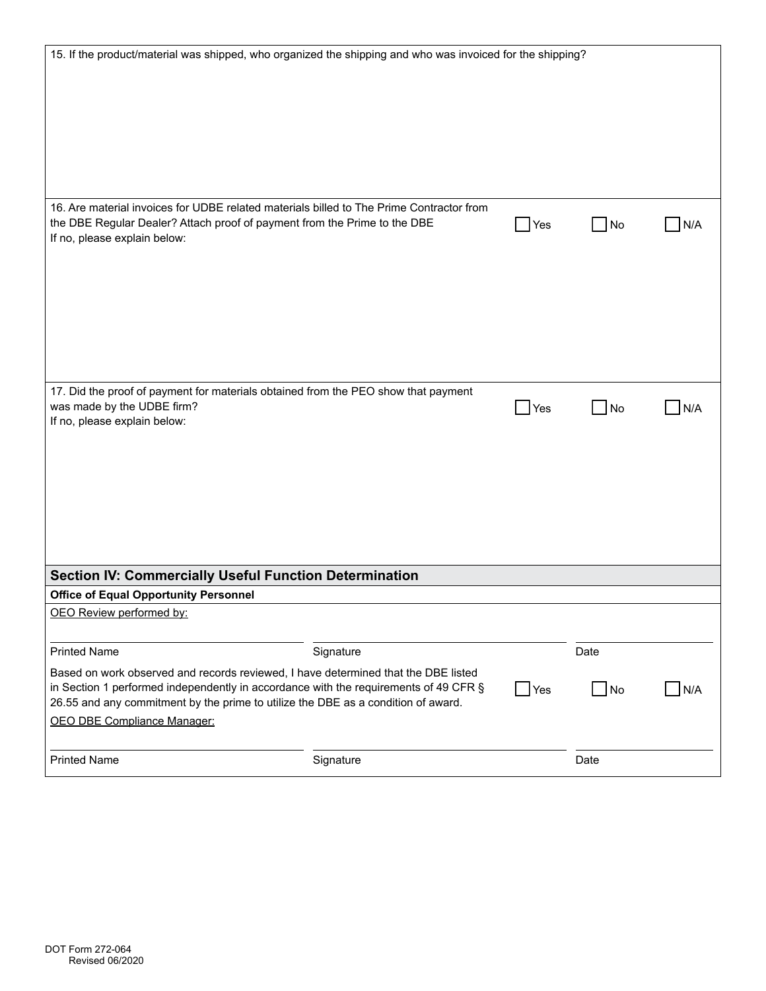| 15. If the product/material was shipped, who organized the shipping and who was invoiced for the shipping?                                                                                                                                                                                               |           |            |                   |     |
|----------------------------------------------------------------------------------------------------------------------------------------------------------------------------------------------------------------------------------------------------------------------------------------------------------|-----------|------------|-------------------|-----|
| 16. Are material invoices for UDBE related materials billed to The Prime Contractor from<br>the DBE Regular Dealer? Attach proof of payment from the Prime to the DBE<br>If no, please explain below:                                                                                                    |           | Yes        | $\blacksquare$ No | N/A |
| 17. Did the proof of payment for materials obtained from the PEO show that payment<br>was made by the UDBE firm?<br>If no, please explain below:<br>Section IV: Commercially Useful Function Determination                                                                                               |           | <b>Yes</b> | $\Box$ No         | N/A |
| <b>Office of Equal Opportunity Personnel</b>                                                                                                                                                                                                                                                             |           |            |                   |     |
| OEO Review performed by:                                                                                                                                                                                                                                                                                 |           |            |                   |     |
| <b>Printed Name</b>                                                                                                                                                                                                                                                                                      | Signature |            | Date              |     |
| Based on work observed and records reviewed, I have determined that the DBE listed<br>in Section 1 performed independently in accordance with the requirements of 49 CFR $\S$<br>26.55 and any commitment by the prime to utilize the DBE as a condition of award.<br><b>OEO DBE Compliance Manager:</b> |           | Yes        | $\Box$ No         | N/A |
| <b>Printed Name</b>                                                                                                                                                                                                                                                                                      | Signature |            | Date              |     |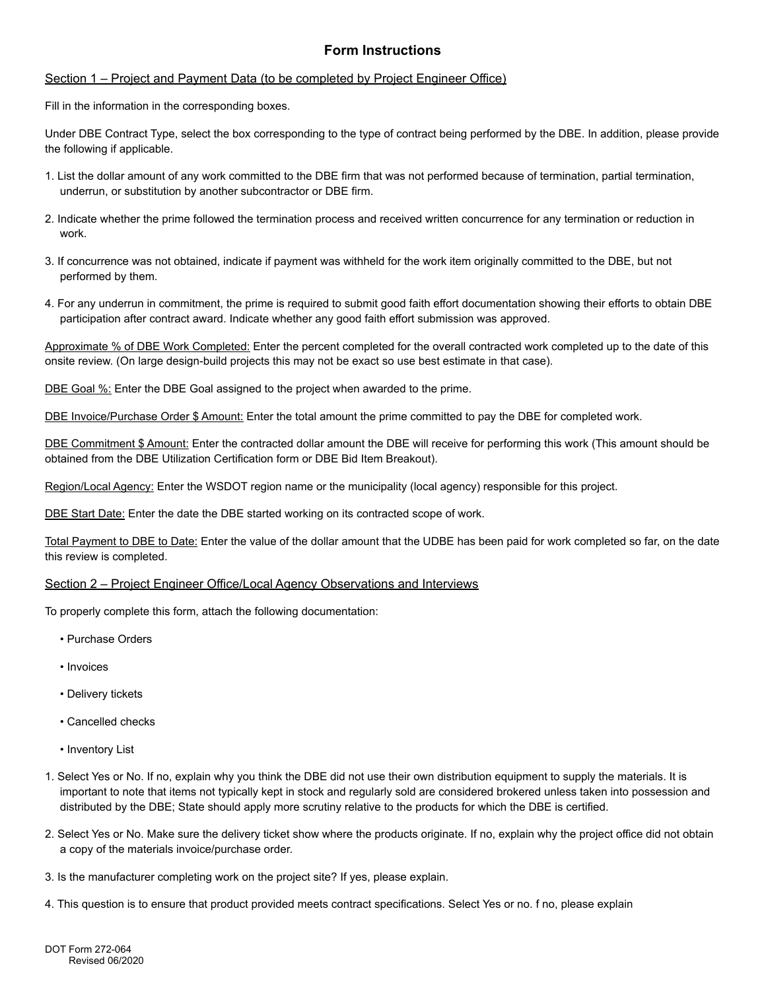### **Form Instructions**

#### Section 1 – Project and Payment Data (to be completed by Project Engineer Office)

Fill in the information in the corresponding boxes.

Under DBE Contract Type, select the box corresponding to the type of contract being performed by the DBE. In addition, please provide the following if applicable.

- 1. List the dollar amount of any work committed to the DBE firm that was not performed because of termination, partial termination, underrun, or substitution by another subcontractor or DBE firm.
- 2. Indicate whether the prime followed the termination process and received written concurrence for any termination or reduction in work.
- 3. If concurrence was not obtained, indicate if payment was withheld for the work item originally committed to the DBE, but not performed by them.
- 4. For any underrun in commitment, the prime is required to submit good faith effort documentation showing their efforts to obtain DBE participation after contract award. Indicate whether any good faith effort submission was approved.

Approximate % of DBE Work Completed: Enter the percent completed for the overall contracted work completed up to the date of this onsite review. (On large design-build projects this may not be exact so use best estimate in that case).

DBE Goal %: Enter the DBE Goal assigned to the project when awarded to the prime.

DBE Invoice/Purchase Order \$ Amount: Enter the total amount the prime committed to pay the DBE for completed work.

DBE Commitment \$ Amount: Enter the contracted dollar amount the DBE will receive for performing this work (This amount should be obtained from the DBE Utilization Certification form or DBE Bid Item Breakout).

Region/Local Agency: Enter the WSDOT region name or the municipality (local agency) responsible for this project.

DBE Start Date: Enter the date the DBE started working on its contracted scope of work.

Total Payment to DBE to Date: Enter the value of the dollar amount that the UDBE has been paid for work completed so far, on the date this review is completed.

#### Section 2 – Project Engineer Office/Local Agency Observations and Interviews

To properly complete this form, attach the following documentation:

- Purchase Orders
- Invoices
- Delivery tickets
- Cancelled checks
- Inventory List
- 1. Select Yes or No. If no, explain why you think the DBE did not use their own distribution equipment to supply the materials. It is important to note that items not typically kept in stock and regularly sold are considered brokered unless taken into possession and distributed by the DBE; State should apply more scrutiny relative to the products for which the DBE is certified.
- 2. Select Yes or No. Make sure the delivery ticket show where the products originate. If no, explain why the project office did not obtain a copy of the materials invoice/purchase order.
- 3. Is the manufacturer completing work on the project site? If yes, please explain.
- 4. This question is to ensure that product provided meets contract specifications. Select Yes or no. f no, please explain